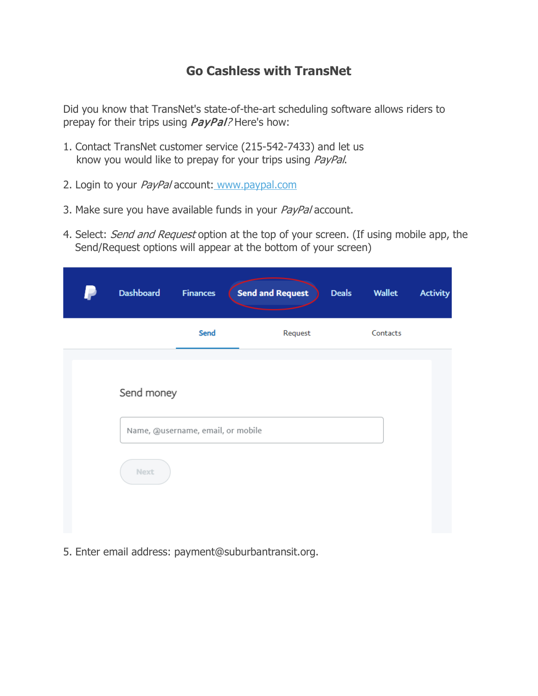## **Go Cashless with TransNet**

Did you know that TransNet's state-of-the-art scheduling software allows riders to prepay for their trips using *PayPal?* Here's how:

- 1. Contact TransNet customer service (215-542-7433) and let us know you would like to prepay for your trips using PayPal.
- 2. Login to your PayPal account: [www.paypal.com](https://www.paypal.com/us/home)
- 3. Make sure you have available funds in your PayPal account.
- 4. Select: Send and Request option at the top of your screen. (If using mobile app, the Send/Request options will appear at the bottom of your screen)

| Dashboard  | <b>Finances</b>                   | <b>Send and Request</b> | <b>Deals</b> | Wallet   | <b>Activity</b> |
|------------|-----------------------------------|-------------------------|--------------|----------|-----------------|
|            | Send                              | Request                 |              | Contacts |                 |
|            |                                   |                         |              |          |                 |
| Send money |                                   |                         |              |          |                 |
|            | Name, @username, email, or mobile |                         |              |          |                 |
| Next       |                                   |                         |              |          |                 |
|            |                                   |                         |              |          |                 |

5. Enter email address: payment@suburbantransit.org.